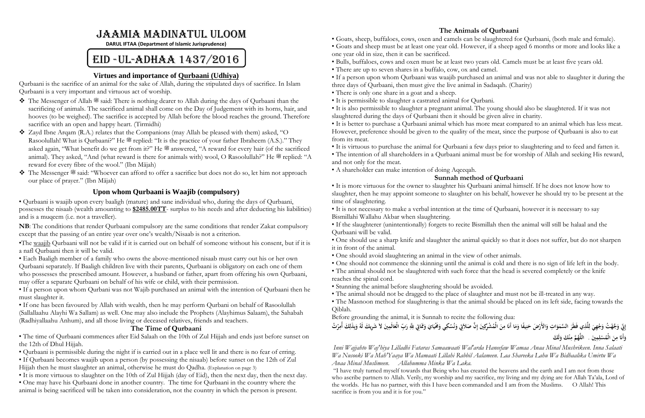# Jaamia Madinatul Uloom

**DARUL IFTAA (Department of Islamic Jurisprudence)**

# EID -UL-ADHAA 1437/2016

#### **Virtues and importance of Qurbaani (Udhiya)**

Qurbaani is the sacrifice of an animal for the sake of Allah, during the stipulated days of sacrifice. In Islam Qurbaani is a very important and virtuous act of worship.

- $\bullet$  The Messenger of Allah  $\mathcal{H}$  said: There is nothing dearer to Allah during the days of Qurbaani than the sacrificing of animals. The sacrificed animal shall come on the Day of Judgement with its horns, hair, and hooves (to be weighed). The sacrifice is accepted by Allah before the blood reaches the ground. Therefore sacrifice with an open and happy heart. (Tirmidhi)
- Zayd Ibne Arqam (R.A.) relates that the Companions (may Allah be pleased with them) asked, "O Rasoolullah! What is Qurbaani?" He  $\mathscr{L}$  replied: "It is the practice of your father Ibraheem (A.S.)." They asked again, "What benefit do we get from it?" He  $\mathcal{L}$  answered, "A reward for every hair (of the sacrificed animal). They asked, "And (what reward is there for animals with) wool, O Rasoolullah?" He  $\mathscr{F}$  replied: "A reward for every fibre of the wool." (Ibn Mājah)
- The Messenger  $\stackrel{\text{def}}{=}$  said: "Whoever can afford to offer a sacrifice but does not do so, let him not approach our place of prayer." (Ibn Mājah)

### **Upon whom Qurbaani is Waajib (compulsory)**

• Qurbaani is waajib upon every baaligh (mature) and sane individual who, during the days of Qurbaani, possesses the nisaab (wealth amounting to **\$2485.00TT**- surplus to his needs and after deducting his liabilities) and is a muqeem (i.e. not a traveller).

**NB**: The conditions that render Qurbaani compulsory are the same conditions that render Zakat compulsory except that the passing of an entire year over one's wealth/Nisaab is not a criterion.

•The waajib Qurbaani will not be valid if it is carried out on behalf of someone without his consent, but if it is a nafl Qurbaani then it will be valid.

• Each Baaligh member of a family who owns the above-mentioned nisaab must carry out his or her own Qurbaani separately. If Baaligh children live with their parents, Qurbaani is obligatory on each one of them who possesses the prescribed amount. However, a husband or father, apart from offering his own Qurbaani, may offer a separate Qurbaani on behalf of his wife or child, with their permission.

- There is only one share in a goat and a sheep.
- It is permissible to slaughter a castrated animal for Qurbani.
- slaughtered during the days of Qurbaani then it should be given alive in charity.

• If a person upon whom Qurbani was not Wajib purchased an animal with the intention of Qurbaani then he must slaughter it.

• If one has been favoured by Allah with wealth, then he may perform Qurbani on behalf of Rasoolullah (Sallallaahu Alayhi Wa Sallam) as well. One may also include the Prophets (Alayhimus Salaam), the Sahabah (Radhiyallaahu Anhum), and all those living or deceased relatives, friends and teachers.

#### **The Time of Qurbaani**

• The time of Qurbaani commences after Eid Salaah on the 10th of Zul Hijjah and ends just before sunset on the 12th of Dhul Hijjah.

• Qurbaani is permissible during the night if is carried out in a place well lit and there is no fear of erring.

• If Qurbaani becomes waajib upon a person (by possessing the nisaab) before sunset on the 12th of Zul Hijjah then he must slaughter an animal, otherwise he must do Qadha. (Explanation on page 3)

• It is more virtuous to slaughter on the 10th of Zul Hijjah (day of Eid), then the next day, then the next day.

إِنِّ وَجَّهْتُ وَجْهِيَ لِلَّذِي فَطَرَ السَّمَوَاتِ وَالأَرْضَ حَنِيفًا وَمَا أَنَا مِنَ الْمُشْرِكِينَ إِنَّ صَلاَتِي وَنُسُكِي وَعْيَايَ وَمَمَاتِي لِلَّهِ رَبِّ الْعَالَمِينَ لاَ شَرِيكَ لَهُ وَبِذَلِكَ أُمِرْتُ **َ َ َ ِ َ َ ا َ َ َ ِ ل َ ْ َ ِ ََ لَ ْ ََ و ن ُ َّم م َني . اللَّه مِ ل ُس الْم ن َ م أََن و َ ِ ِ ْ َ ِ َ**

*Inni Wajjahto Waj'hiya Lilladhi Fataras Samaawaati Wal'arda Haneefaw Wamaa Anaa Minal Mushrikeen. Inna Salaati Wa Nusooki Wa Mah'Yaaya Wa Mamaati Lillahi Rabbil Aalameen. Laa Shareeka Lahu Wa Bidhaalika Umirtu Wa Anaa Minal Muslimeen. Allahumma Minka Wa Laka.* "I have truly turned myself towards that Being who has created the heavens and the earth and I am not from those who ascribe partners to Allah. Verily, my worship and my sacrifice, my living and my dying are for Allah Ta'ala, Lord of the worlds. He has no partner, with this I have been commanded and I am from the Muslims. O Allah! This sacrifice is from you and it is for you."

• One may have his Qurbaani done in another country. The time for Qurbaani in the country where the animal is being sacrificed will be taken into consideration, not the country in which the person is present.

### **The Animals of Qurbaani**

• Goats, sheep, buffaloes, cows, oxen and camels can be slaughtered for Qurbaani, (both male and female). • Goats and sheep must be at least one year old. However, if a sheep aged 6 months or more and looks like a

- 
- one year old in size, then it can be sacrificed.
- Bulls, buffaloes, cows and oxen must be at least two years old. Camels must be at least five years old.
- There are up to seven shares in a buffalo, cow, ox and camel.

• If a person upon whom Qurbaani was waajib purchased an animal and was not able to slaughter it during the three days of Qurbaani, then must give the live animal in Sadaqah. (Charity)

• It is also permissible to slaughter a pregnant animal. The young should also be slaughtered. If it was not

• It is better to purchase a Qurbaani animal which has more meat compared to an animal which has less meat. However, preference should be given to the quality of the meat, since the purpose of Qurbaani is also to eat from its meat.

• It is virtuous to purchase the animal for Qurbaani a few days prior to slaughtering and to feed and fatten it. • The intention of all shareholders in a Qurbaani animal must be for worship of Allah and seeking His reward,

#### **Sunnah method of Qurbaani**

slaughter, then he may appoint someone to slaughter on his behalf, however he should try to be present at the

- 
- and not only for the meat.
- A shareholder can make intention of doing Aqeeqah.
- It is more virtuous for the owner to slaughter his Qurbaani animal himself. If he does not know how to time of slaughtering.
- It is not necessary to make a verbal intention at the time of Qurbaani, however it is necessary to say Bismillahi Wallahu Akbar when slaughtering.
- If the slaughterer (unintentionally) forgets to recite Bismillah then the animal will still be halaal and the Qurbaani will be valid.
- it in front of the animal.
- One should avoid slaughtering an animal in the view of other animals.
- 
- The animal should not be slaughtered with such force that the head is severed completely or the knife reaches the spinal cord.
- Stunning the animal before slaughtering should be avoided.
- 

• One should use a sharp knife and slaughter the animal quickly so that it does not suffer, but do not sharpen

• One should not commence the skinning until the animal is cold and there is no sign of life left in the body.

• The animal should not be dragged to the place of slaughter and must not be ill-treated in any way. • The Masnoon method for slaughtering is that the animal should be placed on its left side, facing towards the Qiblah.

Before grounding the animal, it is Sunnah to recite the following dua: **ِ َ ِ َ َ َ َ ن َ ِ ِ ٔ ِ َ**